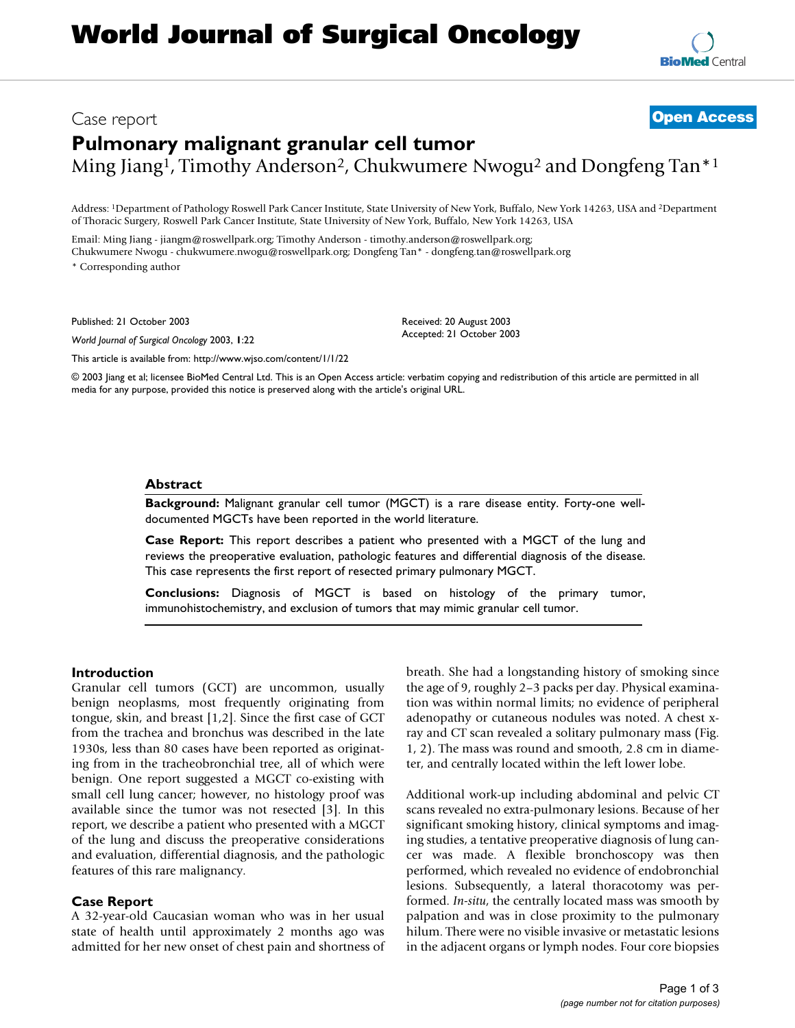# Case report **[Open Access](http://www.biomedcentral.com/info/about/charter/) Pulmonary malignant granular cell tumor** Ming Jiang<sup>1</sup>, Timothy Anderson<sup>2</sup>, Chukwumere Nwogu<sup>2</sup> and Dongfeng Tan<sup>\*1</sup>

Address: 1Department of Pathology Roswell Park Cancer Institute, State University of New York, Buffalo, New York 14263, USA and 2Department of Thoracic Surgery, Roswell Park Cancer Institute, State University of New York, Buffalo, New York 14263, USA

> Received: 20 August 2003 Accepted: 21 October 2003

Email: Ming Jiang - jiangm@roswellpark.org; Timothy Anderson - timothy.anderson@roswellpark.org; Chukwumere Nwogu - chukwumere.nwogu@roswellpark.org; Dongfeng Tan\* - dongfeng.tan@roswellpark.org

\* Corresponding author

Published: 21 October 2003

*World Journal of Surgical Oncology* 2003, **1**:22

[This article is available from: http://www.wjso.com/content/1/1/22](http://www.wjso.com/content/1/1/22)

© 2003 Jiang et al; licensee BioMed Central Ltd. This is an Open Access article: verbatim copying and redistribution of this article are permitted in all media for any purpose, provided this notice is preserved along with the article's original URL.

#### **Abstract**

**Background:** Malignant granular cell tumor (MGCT) is a rare disease entity. Forty-one welldocumented MGCTs have been reported in the world literature.

**Case Report:** This report describes a patient who presented with a MGCT of the lung and reviews the preoperative evaluation, pathologic features and differential diagnosis of the disease. This case represents the first report of resected primary pulmonary MGCT.

**Conclusions:** Diagnosis of MGCT is based on histology of the primary tumor, immunohistochemistry, and exclusion of tumors that may mimic granular cell tumor.

### **Introduction**

Granular cell tumors (GCT) are uncommon, usually benign neoplasms, most frequently originating from tongue, skin, and breast [1,2]. Since the first case of GCT from the trachea and bronchus was described in the late 1930s, less than 80 cases have been reported as originating from in the tracheobronchial tree, all of which were benign. One report suggested a MGCT co-existing with small cell lung cancer; however, no histology proof was available since the tumor was not resected [3]. In this report, we describe a patient who presented with a MGCT of the lung and discuss the preoperative considerations and evaluation, differential diagnosis, and the pathologic features of this rare malignancy.

#### **Case Report**

A 32-year-old Caucasian woman who was in her usual state of health until approximately 2 months ago was admitted for her new onset of chest pain and shortness of breath. She had a longstanding history of smoking since the age of 9, roughly 2–3 packs per day. Physical examination was within normal limits; no evidence of peripheral adenopathy or cutaneous nodules was noted. A chest xray and CT scan revealed a solitary pulmonary mass (Fig. [1](#page-1-0), 2). The mass was round and smooth, 2.8 cm in diameter, and centrally located within the left lower lobe.

Additional work-up including abdominal and pelvic CT scans revealed no extra-pulmonary lesions. Because of her significant smoking history, clinical symptoms and imaging studies, a tentative preoperative diagnosis of lung cancer was made. A flexible bronchoscopy was then performed, which revealed no evidence of endobronchial lesions. Subsequently, a lateral thoracotomy was performed. *In-situ*, the centrally located mass was smooth by palpation and was in close proximity to the pulmonary hilum. There were no visible invasive or metastatic lesions in the adjacent organs or lymph nodes. Four core biopsies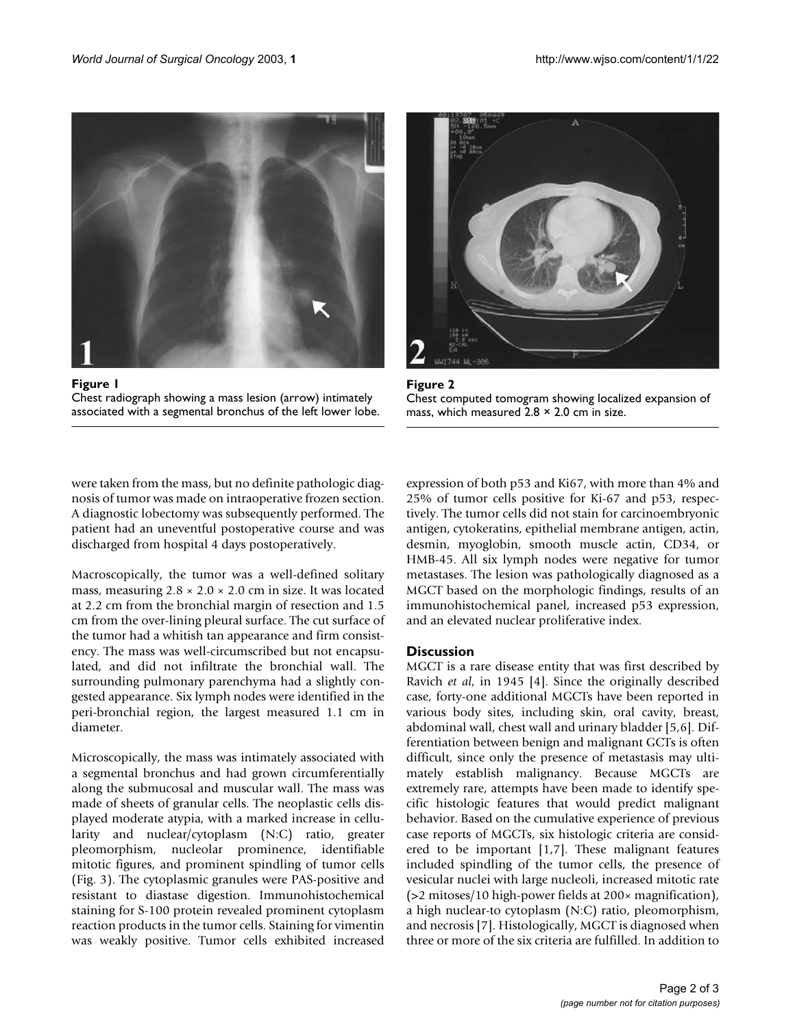<span id="page-1-0"></span>

Figure 1 Chest radiograph showing a mass lesion (arrow) intimately associated with a segmental bronchus of the left lower lobe.



Figure 2. Chest computed tomogram showing localized expansion of mass, which measured  $2.8 \times 2.0$  cm in size.

were taken from the mass, but no definite pathologic diagnosis of tumor was made on intraoperative frozen section. A diagnostic lobectomy was subsequently performed. The patient had an uneventful postoperative course and was discharged from hospital 4 days postoperatively.

Macroscopically, the tumor was a well-defined solitary mass, measuring  $2.8 \times 2.0 \times 2.0$  cm in size. It was located at 2.2 cm from the bronchial margin of resection and 1.5 cm from the over-lining pleural surface. The cut surface of the tumor had a whitish tan appearance and firm consistency. The mass was well-circumscribed but not encapsulated, and did not infiltrate the bronchial wall. The surrounding pulmonary parenchyma had a slightly congested appearance. Six lymph nodes were identified in the peri-bronchial region, the largest measured 1.1 cm in diameter.

Microscopically, the mass was intimately associated with a segmental bronchus and had grown circumferentially along the submucosal and muscular wall. The mass was made of sheets of granular cells. The neoplastic cells displayed moderate atypia, with a marked increase in cellularity and nuclear/cytoplasm (N:C) ratio, greater pleomorphism, nucleolar prominence, identifiable mitotic figures, and prominent spindling of tumor cells (Fig. [3](#page-2-0)). The cytoplasmic granules were PAS-positive and resistant to diastase digestion. Immunohistochemical staining for S-100 protein revealed prominent cytoplasm reaction products in the tumor cells. Staining for vimentin was weakly positive. Tumor cells exhibited increased expression of both p53 and Ki67, with more than 4% and 25% of tumor cells positive for Ki-67 and p53, respectively. The tumor cells did not stain for carcinoembryonic antigen, cytokeratins, epithelial membrane antigen, actin, desmin, myoglobin, smooth muscle actin, CD34, or HMB-45. All six lymph nodes were negative for tumor metastases. The lesion was pathologically diagnosed as a MGCT based on the morphologic findings, results of an immunohistochemical panel, increased p53 expression, and an elevated nuclear proliferative index.

# **Discussion**

MGCT is a rare disease entity that was first described by Ravich *et al*, in 1945 [4]. Since the originally described case, forty-one additional MGCTs have been reported in various body sites, including skin, oral cavity, breast, abdominal wall, chest wall and urinary bladder [5,6]. Differentiation between benign and malignant GCTs is often difficult, since only the presence of metastasis may ultimately establish malignancy. Because MGCTs are extremely rare, attempts have been made to identify specific histologic features that would predict malignant behavior. Based on the cumulative experience of previous case reports of MGCTs, six histologic criteria are considered to be important [1,7]. These malignant features included spindling of the tumor cells, the presence of vesicular nuclei with large nucleoli, increased mitotic rate (>2 mitoses/10 high-power fields at 200× magnification), a high nuclear-to cytoplasm (N:C) ratio, pleomorphism, and necrosis [7]. Histologically, MGCT is diagnosed when three or more of the six criteria are fulfilled. In addition to